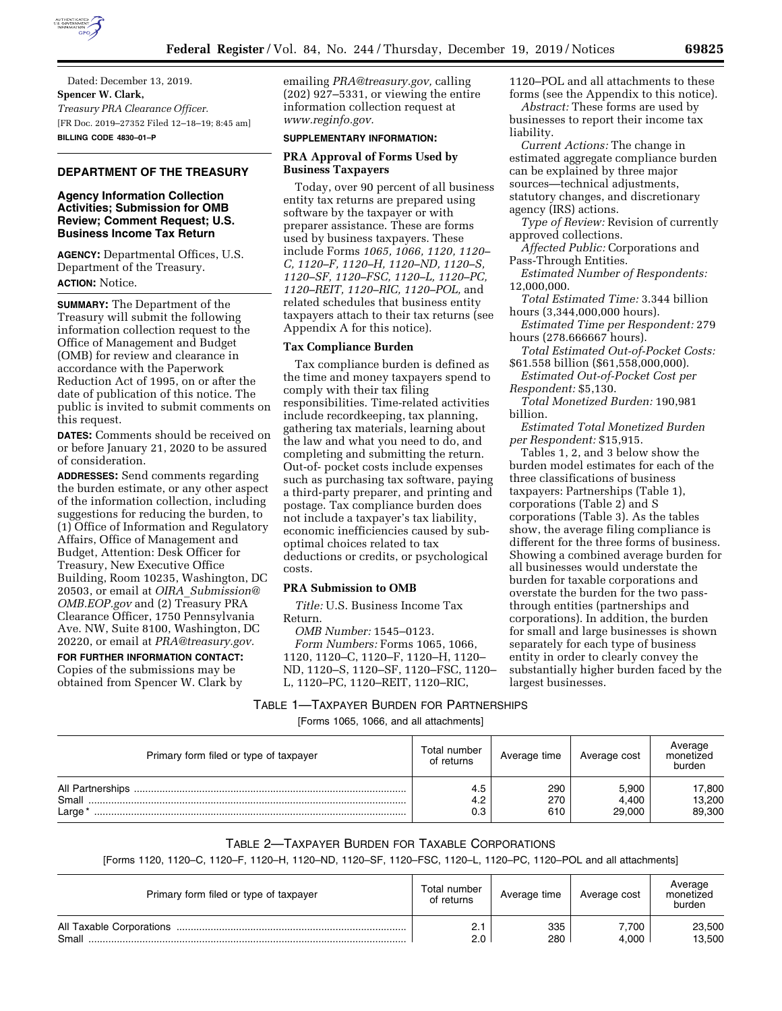

Dated: December 13, 2019. **Spencer W. Clark,**  *Treasury PRA Clearance Officer.*  [FR Doc. 2019–27352 Filed 12–18–19; 8:45 am] **BILLING CODE 4830–01–P** 

## **DEPARTMENT OF THE TREASURY**

### **Agency Information Collection Activities; Submission for OMB Review; Comment Request; U.S. Business Income Tax Return**

**AGENCY:** Departmental Offices, U.S. Department of the Treasury. **ACTION:** Notice.

**SUMMARY:** The Department of the Treasury will submit the following information collection request to the Office of Management and Budget (OMB) for review and clearance in accordance with the Paperwork Reduction Act of 1995, on or after the date of publication of this notice. The public is invited to submit comments on this request.

**DATES:** Comments should be received on or before January 21, 2020 to be assured of consideration.

**ADDRESSES:** Send comments regarding the burden estimate, or any other aspect of the information collection, including suggestions for reducing the burden, to (1) Office of Information and Regulatory Affairs, Office of Management and Budget, Attention: Desk Officer for Treasury, New Executive Office Building, Room 10235, Washington, DC 20503, or email at *OIRA*\_*[Submission@](mailto:OIRA_Submission@OMB.EOP.gov) [OMB.EOP.gov](mailto:OIRA_Submission@OMB.EOP.gov)* and (2) Treasury PRA Clearance Officer, 1750 Pennsylvania Ave. NW, Suite 8100, Washington, DC 20220, or email at *[PRA@treasury.gov.](mailto:PRA@treasury.gov)* 

**FOR FURTHER INFORMATION CONTACT:**  Copies of the submissions may be obtained from Spencer W. Clark by

emailing *[PRA@treasury.gov,](mailto:PRA@treasury.gov)* calling (202) 927–5331, or viewing the entire information collection request at *[www.reginfo.gov.](http://www.reginfo.gov)* 

#### **SUPPLEMENTARY INFORMATION:**

#### **PRA Approval of Forms Used by Business Taxpayers**

Today, over 90 percent of all business entity tax returns are prepared using software by the taxpayer or with preparer assistance. These are forms used by business taxpayers. These include Forms *1065, 1066, 1120, 1120– C, 1120–F, 1120–H, 1120–ND, 1120–S, 1120–SF, 1120–FSC, 1120–L, 1120–PC, 1120–REIT, 1120–RIC, 1120–POL,* and related schedules that business entity taxpayers attach to their tax returns (see Appendix A for this notice).

#### **Tax Compliance Burden**

Tax compliance burden is defined as the time and money taxpayers spend to comply with their tax filing responsibilities. Time-related activities include recordkeeping, tax planning, gathering tax materials, learning about the law and what you need to do, and completing and submitting the return. Out-of- pocket costs include expenses such as purchasing tax software, paying a third-party preparer, and printing and postage. Tax compliance burden does not include a taxpayer's tax liability, economic inefficiencies caused by suboptimal choices related to tax deductions or credits, or psychological costs.

#### **PRA Submission to OMB**

*Title:* U.S. Business Income Tax Return.

*OMB Number:* 1545–0123. *Form Numbers:* Forms 1065, 1066, 1120, 1120–C, 1120–F, 1120–H, 1120– ND, 1120–S, 1120–SF, 1120–FSC, 1120– L, 1120–PC, 1120–REIT, 1120–RIC,

1120–POL and all attachments to these forms (see the Appendix to this notice).

*Abstract:* These forms are used by businesses to report their income tax liability.

*Current Actions:* The change in estimated aggregate compliance burden can be explained by three major sources—technical adjustments, statutory changes, and discretionary agency (IRS) actions.

*Type of Review:* Revision of currently approved collections.

*Affected Public:* Corporations and Pass-Through Entities.

*Estimated Number of Respondents:*  12,000,000.

*Total Estimated Time:* 3.344 billion hours (3,344,000,000 hours).

*Estimated Time per Respondent:* 279 hours (278.666667 hours).

*Total Estimated Out-of-Pocket Costs:*  \$61.558 billion (\$61,558,000,000).

*Estimated Out-of-Pocket Cost per Respondent:* \$5,130.

*Total Monetized Burden:* 190,981 billion.

*Estimated Total Monetized Burden per Respondent:* \$15,915.

Tables 1, 2, and 3 below show the burden model estimates for each of the three classifications of business taxpayers: Partnerships (Table 1), corporations (Table 2) and S corporations (Table 3). As the tables show, the average filing compliance is different for the three forms of business. Showing a combined average burden for all businesses would understate the burden for taxable corporations and overstate the burden for the two passthrough entities (partnerships and corporations). In addition, the burden for small and large businesses is shown separately for each type of business entity in order to clearly convey the substantially higher burden faced by the largest businesses.

## TABLE 1—TAXPAYER BURDEN FOR PARTNERSHIPS

[Forms 1065, 1066, and all attachments]

| Primary form filed or type of taxpayer | Total number<br>of returns | Average time      | Average cost             | Average<br>monetized<br>burden |
|----------------------------------------|----------------------------|-------------------|--------------------------|--------------------------------|
| Small<br>Large*                        | 4.5<br>0.3                 | 290<br>270<br>610 | 5,900<br>4.400<br>29,000 | 17,800<br>13,200<br>89,300     |

## TABLE 2—TAXPAYER BURDEN FOR TAXABLE CORPORATIONS

[Forms 1120, 1120–C, 1120–F, 1120–H, 1120–ND, 1120–SF, 1120–FSC, 1120–L, 1120–PC, 1120–POL and all attachments]

| Primary form filed or type of taxpayer | Total number<br>of returns | Average time | Average cost | Average<br>monetized<br>burden |
|----------------------------------------|----------------------------|--------------|--------------|--------------------------------|
| All Taxable Corporations               | <u>.</u>                   | 335          | 7.700        | 23,500                         |
| Small                                  | 2.0                        | 280          | 4.000        | 13,500                         |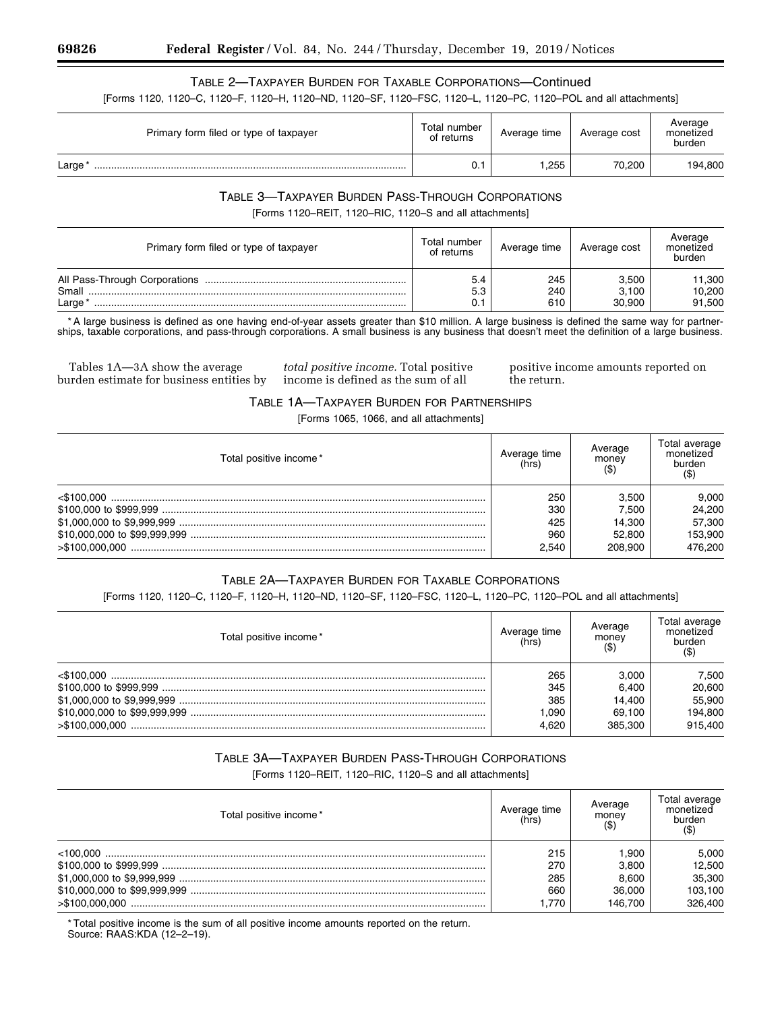# TABLE 2—TAXPAYER BURDEN FOR TAXABLE CORPORATIONS—Continued

[Forms 1120, 1120–C, 1120–F, 1120–H, 1120–ND, 1120–SF, 1120–FSC, 1120–L, 1120–PC, 1120–POL and all attachments]

| Primary form filed or type of taxpayer | Total number<br>of returns | Average time | Average cost | Average<br>monetized<br>burden |
|----------------------------------------|----------------------------|--------------|--------------|--------------------------------|
| Large                                  | 0.1                        | .255         | 70,200       | 194,800                        |

## TABLE 3—TAXPAYER BURDEN PASS-THROUGH CORPORATIONS [Forms 1120–REIT, 1120–RIC, 1120–S and all attachments]

| Primary form filed or type of taxpayer | Total number<br>of returns | Average time      | Average cost             | Average<br>monetized<br>burden |
|----------------------------------------|----------------------------|-------------------|--------------------------|--------------------------------|
| Small<br>Large                         | 5.4<br>5.3                 | 245<br>240<br>610 | 3.500<br>3.100<br>30.900 | 11,300<br>10,200<br>91,500     |

\* A large business is defined as one having end-of-year assets greater than \$10 million. A large business is defined the same way for partnerships, taxable corporations, and pass-through corporations. A small business is any business that doesn't meet the definition of a large business.

Tables 1A—3A show the average burden estimate for business entities by

*total positive income.* Total positive income is defined as the sum of all

positive income amounts reported on the return.

### TABLE 1A—TAXPAYER BURDEN FOR PARTNERSHIPS

[Forms 1065, 1066, and all attachments]

| Total positive income * | Average time<br>(hrs) | Average<br>money | Total average<br>monetized<br>burden |
|-------------------------|-----------------------|------------------|--------------------------------------|
| <\$100.000              | 250                   | 3.500            | 9.000                                |
|                         | 330                   | 7.500            | 24,200                               |
|                         | 425                   | 14.300           | 57,300                               |
|                         | 960                   | 52,800           | 153,900                              |
| > \$100.000.000         | 2.540                 | 208.900          | 476.200                              |

# TABLE 2A—TAXPAYER BURDEN FOR TAXABLE CORPORATIONS

[Forms 1120, 1120–C, 1120–F, 1120–H, 1120–ND, 1120–SF, 1120–FSC, 1120–L, 1120–PC, 1120–POL and all attachments]

| Total positive income* | Average time<br>(hrs) | Average<br>money<br>(\$) | Total average<br>monetized<br>burden |
|------------------------|-----------------------|--------------------------|--------------------------------------|
| $<$ \$100.000          | 265                   | 3.000                    | 7,500                                |
|                        | 345                   | 6.400                    | 20,600                               |
|                        | 385                   | 14.400                   | 55,900                               |
|                        | 1.090                 | 69.100                   | 194,800                              |
| >\$100.000.000         | 4.620                 | 385.300                  | 915,400                              |

# TABLE 3A—TAXPAYER BURDEN PASS-THROUGH CORPORATIONS

[Forms 1120–REIT, 1120–RIC, 1120–S and all attachments]

| Total positive income * | Average time<br>(hrs) | Average<br>money | Total average<br>monetized<br>burden |
|-------------------------|-----------------------|------------------|--------------------------------------|
| $<$ 100.000             | 215                   | 1.900            | 5,000                                |
|                         | 270                   | 3.800            | 12,500                               |
|                         | 285                   | 8.600            | 35,300                               |
|                         | 660                   | 36,000           | 103,100                              |
| >\$100.000.000          | .770                  | 146.700          | 326,400                              |

\* Total positive income is the sum of all positive income amounts reported on the return. Source: RAAS:KDA (12–2–19).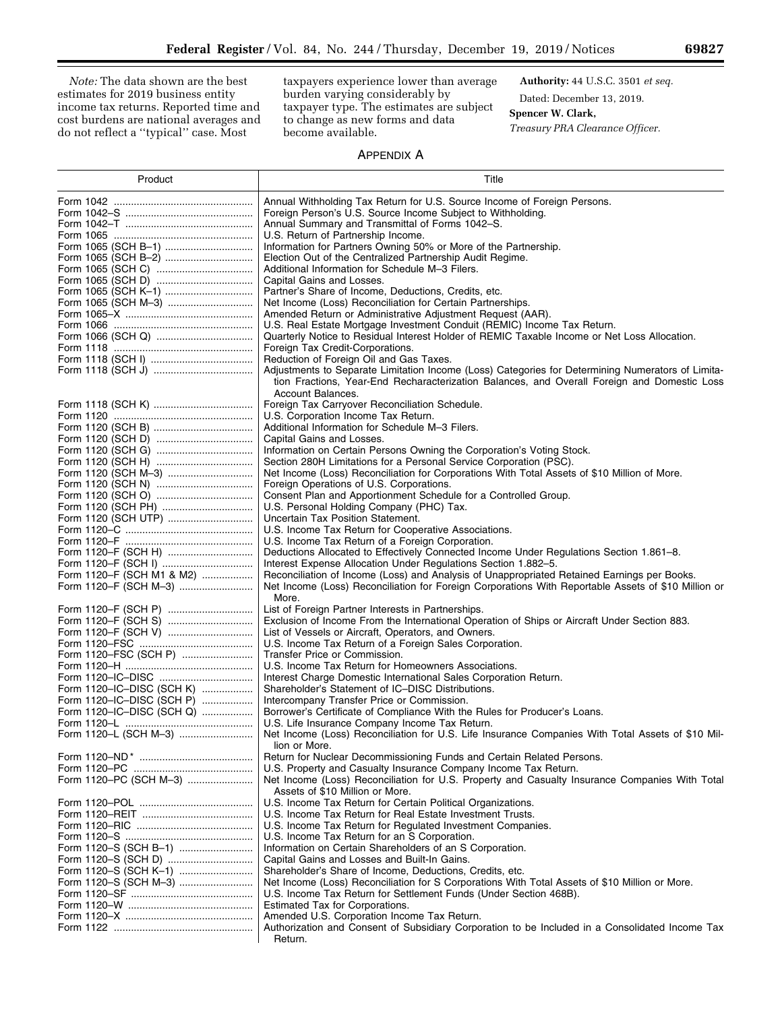*Note:* The data shown are the best estimates for 2019 business entity income tax returns. Reported time and cost burdens are national averages and do not reflect a ''typical'' case. Most

taxpayers experience lower than average burden varying considerably by taxpayer type. The estimates are subject to change as new forms and data become available.

**Authority:** 44 U.S.C. 3501 *et seq.*  Dated: December 13, 2019.

## **Spencer W. Clark,**

*Treasury PRA Clearance Officer.* 

# APPENDIX A

| Product                   | Title                                                                                                                                                              |
|---------------------------|--------------------------------------------------------------------------------------------------------------------------------------------------------------------|
|                           | Annual Withholding Tax Return for U.S. Source Income of Foreign Persons.                                                                                           |
|                           | Foreign Person's U.S. Source Income Subject to Withholding.                                                                                                        |
|                           | Annual Summary and Transmittal of Forms 1042–S.                                                                                                                    |
|                           | U.S. Return of Partnership Income.                                                                                                                                 |
| Form 1065 (SCH B-1)       | Information for Partners Owning 50% or More of the Partnership.                                                                                                    |
| Form 1065 (SCH B-2)       | Election Out of the Centralized Partnership Audit Regime.                                                                                                          |
|                           | Additional Information for Schedule M-3 Filers.                                                                                                                    |
|                           | Capital Gains and Losses.                                                                                                                                          |
| Form 1065 (SCH K-1)       | Partner's Share of Income, Deductions, Credits, etc.                                                                                                               |
|                           | Net Income (Loss) Reconciliation for Certain Partnerships.                                                                                                         |
|                           | Amended Return or Administrative Adjustment Request (AAR).                                                                                                         |
|                           | U.S. Real Estate Mortgage Investment Conduit (REMIC) Income Tax Return.                                                                                            |
|                           | Quarterly Notice to Residual Interest Holder of REMIC Taxable Income or Net Loss Allocation.                                                                       |
|                           | Foreign Tax Credit-Corporations.                                                                                                                                   |
|                           | Reduction of Foreign Oil and Gas Taxes.                                                                                                                            |
|                           | Adjustments to Separate Limitation Income (Loss) Categories for Determining Numerators of Limita-                                                                  |
|                           | tion Fractions, Year-End Recharacterization Balances, and Overall Foreign and Domestic Loss                                                                        |
|                           | Account Balances.                                                                                                                                                  |
|                           | Foreign Tax Carryover Reconciliation Schedule.                                                                                                                     |
|                           | U.S. Corporation Income Tax Return.                                                                                                                                |
|                           | Additional Information for Schedule M-3 Filers.                                                                                                                    |
|                           | Capital Gains and Losses.                                                                                                                                          |
|                           | Information on Certain Persons Owning the Corporation's Voting Stock.                                                                                              |
|                           | Section 280H Limitations for a Personal Service Corporation (PSC).<br>Net Income (Loss) Reconciliation for Corporations With Total Assets of \$10 Million of More. |
| Form 1120 (SCH M-3)       | Foreign Operations of U.S. Corporations.                                                                                                                           |
|                           |                                                                                                                                                                    |
|                           | Consent Plan and Apportionment Schedule for a Controlled Group.<br>U.S. Personal Holding Company (PHC) Tax.                                                        |
|                           | Uncertain Tax Position Statement.                                                                                                                                  |
|                           | U.S. Income Tax Return for Cooperative Associations.                                                                                                               |
|                           | U.S. Income Tax Return of a Foreign Corporation.                                                                                                                   |
| Form 1120-F (SCH H)       | Deductions Allocated to Effectively Connected Income Under Regulations Section 1.861-8.                                                                            |
|                           | Interest Expense Allocation Under Regulations Section 1.882-5.                                                                                                     |
| Form 1120-F (SCH M1 & M2) | Reconciliation of Income (Loss) and Analysis of Unappropriated Retained Earnings per Books.                                                                        |
| Form 1120-F (SCH M-3)     | Net Income (Loss) Reconciliation for Foreign Corporations With Reportable Assets of \$10 Million or                                                                |
|                           | More.                                                                                                                                                              |
|                           | List of Foreign Partner Interests in Partnerships.                                                                                                                 |
|                           | Exclusion of Income From the International Operation of Ships or Aircraft Under Section 883.                                                                       |
| Form 1120-F (SCH V)       | List of Vessels or Aircraft, Operators, and Owners.                                                                                                                |
|                           | U.S. Income Tax Return of a Foreign Sales Corporation.                                                                                                             |
| Form 1120-FSC (SCH P)     | Transfer Price or Commission.                                                                                                                                      |
|                           | U.S. Income Tax Return for Homeowners Associations.                                                                                                                |
|                           | Interest Charge Domestic International Sales Corporation Return.                                                                                                   |
| Form 1120–IC–DISC (SCH K) | Shareholder's Statement of IC-DISC Distributions.                                                                                                                  |
| Form 1120-IC-DISC (SCH P) | Intercompany Transfer Price or Commission.                                                                                                                         |
| Form 1120-IC-DISC (SCH Q) | Borrower's Certificate of Compliance With the Rules for Producer's Loans.                                                                                          |
|                           | U.S. Life Insurance Company Income Tax Return.                                                                                                                     |
| Form 1120-L (SCH M-3)     | Net Income (Loss) Reconciliation for U.S. Life Insurance Companies With Total Assets of \$10 Mil-                                                                  |
|                           | lion or More.                                                                                                                                                      |
|                           | Return for Nuclear Decommissioning Funds and Certain Related Persons.                                                                                              |
|                           | U.S. Property and Casualty Insurance Company Income Tax Return.                                                                                                    |
| Form 1120-PC (SCH M-3)    | Net Income (Loss) Reconciliation for U.S. Property and Casualty Insurance Companies With Total                                                                     |
|                           | Assets of \$10 Million or More.                                                                                                                                    |
|                           | U.S. Income Tax Return for Certain Political Organizations.                                                                                                        |
|                           | U.S. Income Tax Return for Real Estate Investment Trusts.                                                                                                          |
|                           | U.S. Income Tax Return for Regulated Investment Companies.                                                                                                         |
| Form 1120-S (SCH B-1)     | U.S. Income Tax Return for an S Corporation.<br>Information on Certain Shareholders of an S Corporation.                                                           |
| Form 1120-S (SCH D)       | Capital Gains and Losses and Built-In Gains.                                                                                                                       |
| Form 1120-S (SCH K-1)     | Shareholder's Share of Income, Deductions, Credits, etc.                                                                                                           |
| Form 1120-S (SCH M-3)     | Net Income (Loss) Reconciliation for S Corporations With Total Assets of \$10 Million or More.                                                                     |
|                           | U.S. Income Tax Return for Settlement Funds (Under Section 468B).                                                                                                  |
|                           | Estimated Tax for Corporations.                                                                                                                                    |
|                           | Amended U.S. Corporation Income Tax Return.                                                                                                                        |
|                           | Authorization and Consent of Subsidiary Corporation to be Included in a Consolidated Income Tax                                                                    |
|                           | Return.                                                                                                                                                            |

۰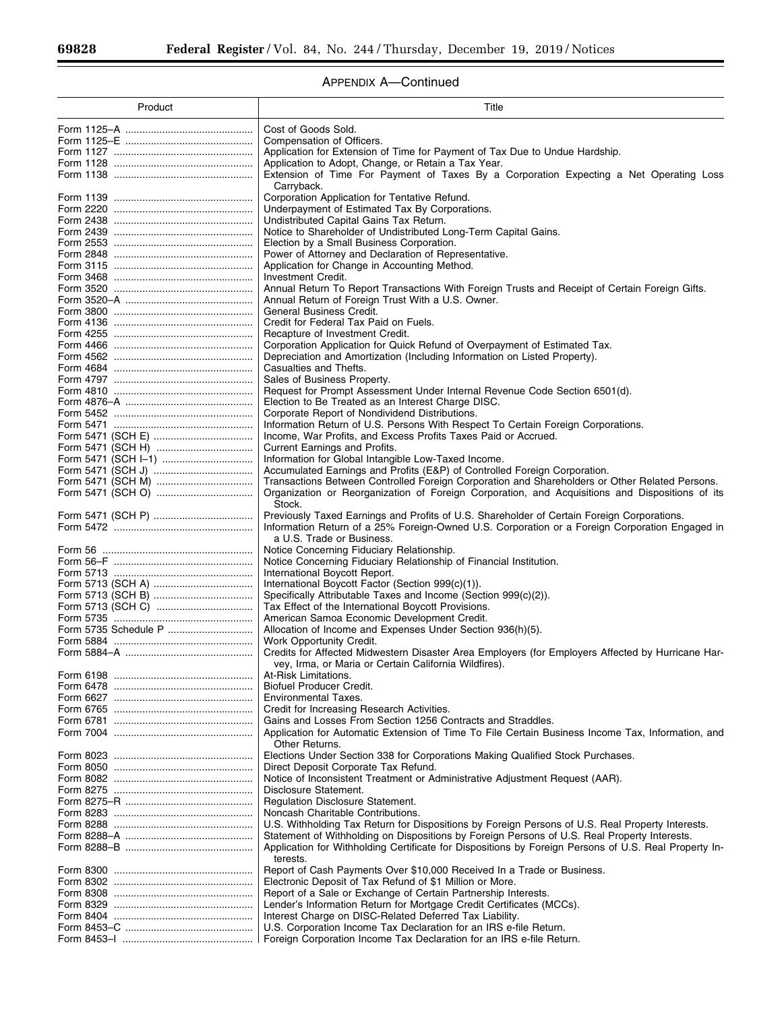Ξ

۰

# APPENDIX A—Continued

| Product | Title                                                                                                                                                            |
|---------|------------------------------------------------------------------------------------------------------------------------------------------------------------------|
|         | Cost of Goods Sold.                                                                                                                                              |
|         | Compensation of Officers.                                                                                                                                        |
|         | Application for Extension of Time for Payment of Tax Due to Undue Hardship.                                                                                      |
|         | Application to Adopt, Change, or Retain a Tax Year.                                                                                                              |
|         | Extension of Time For Payment of Taxes By a Corporation Expecting a Net Operating Loss                                                                           |
|         | Carryback.                                                                                                                                                       |
|         | Corporation Application for Tentative Refund.                                                                                                                    |
|         | Underpayment of Estimated Tax By Corporations.                                                                                                                   |
|         | Undistributed Capital Gains Tax Return.<br>Notice to Shareholder of Undistributed Long-Term Capital Gains.                                                       |
|         | Election by a Small Business Corporation.                                                                                                                        |
|         | Power of Attorney and Declaration of Representative.                                                                                                             |
|         | Application for Change in Accounting Method.                                                                                                                     |
|         | Investment Credit.                                                                                                                                               |
|         | Annual Return To Report Transactions With Foreign Trusts and Receipt of Certain Foreign Gifts.                                                                   |
|         | Annual Return of Foreign Trust With a U.S. Owner.                                                                                                                |
|         | General Business Credit.                                                                                                                                         |
|         | Credit for Federal Tax Paid on Fuels.                                                                                                                            |
|         | Recapture of Investment Credit.                                                                                                                                  |
|         | Corporation Application for Quick Refund of Overpayment of Estimated Tax.                                                                                        |
|         | Depreciation and Amortization (Including Information on Listed Property).                                                                                        |
|         | Casualties and Thefts.<br>Sales of Business Property.                                                                                                            |
|         | Request for Prompt Assessment Under Internal Revenue Code Section 6501(d).                                                                                       |
|         | Election to Be Treated as an Interest Charge DISC.                                                                                                               |
|         | Corporate Report of Nondividend Distributions.                                                                                                                   |
|         | Information Return of U.S. Persons With Respect To Certain Foreign Corporations.                                                                                 |
|         | Income, War Profits, and Excess Profits Taxes Paid or Accrued.                                                                                                   |
|         | <b>Current Earnings and Profits.</b>                                                                                                                             |
|         | Information for Global Intangible Low-Taxed Income.                                                                                                              |
|         | Accumulated Earnings and Profits (E&P) of Controlled Foreign Corporation.                                                                                        |
|         | Transactions Between Controlled Foreign Corporation and Shareholders or Other Related Persons.                                                                   |
|         | Organization or Reorganization of Foreign Corporation, and Acquisitions and Dispositions of its                                                                  |
|         | Stock.                                                                                                                                                           |
|         | Previously Taxed Earnings and Profits of U.S. Shareholder of Certain Foreign Corporations.                                                                       |
|         | Information Return of a 25% Foreign-Owned U.S. Corporation or a Foreign Corporation Engaged in                                                                   |
|         | a U.S. Trade or Business.                                                                                                                                        |
|         | Notice Concerning Fiduciary Relationship.<br>Notice Concerning Fiduciary Relationship of Financial Institution.                                                  |
|         | International Boycott Report.                                                                                                                                    |
|         | International Boycott Factor (Section 999(c)(1)).                                                                                                                |
|         | Specifically Attributable Taxes and Income (Section 999(c)(2)).                                                                                                  |
|         | Tax Effect of the International Boycott Provisions.                                                                                                              |
|         | American Samoa Economic Development Credit.                                                                                                                      |
|         | Allocation of Income and Expenses Under Section 936(h)(5).                                                                                                       |
|         | Work Opportunity Credit.                                                                                                                                         |
|         | Credits for Affected Midwestern Disaster Area Employers (for Employers Affected by Hurricane Har-                                                                |
|         | vey, Irma, or Maria or Certain California Wildfires).                                                                                                            |
|         | At-Risk Limitations.                                                                                                                                             |
|         | <b>Biofuel Producer Credit.</b>                                                                                                                                  |
|         | <b>Environmental Taxes.</b>                                                                                                                                      |
|         | Credit for Increasing Research Activities.                                                                                                                       |
|         | Gains and Losses From Section 1256 Contracts and Straddles.<br>Application for Automatic Extension of Time To File Certain Business Income Tax, Information, and |
|         | Other Returns.                                                                                                                                                   |
|         | Elections Under Section 338 for Corporations Making Qualified Stock Purchases.                                                                                   |
|         | Direct Deposit Corporate Tax Refund.                                                                                                                             |
|         | Notice of Inconsistent Treatment or Administrative Adjustment Request (AAR).                                                                                     |
|         | Disclosure Statement.                                                                                                                                            |
|         | <b>Regulation Disclosure Statement.</b>                                                                                                                          |
|         | Noncash Charitable Contributions.                                                                                                                                |
|         | U.S. Withholding Tax Return for Dispositions by Foreign Persons of U.S. Real Property Interests.                                                                 |
|         | Statement of Withholding on Dispositions by Foreign Persons of U.S. Real Property Interests.                                                                     |
|         | Application for Withholding Certificate for Dispositions by Foreign Persons of U.S. Real Property In-                                                            |
|         | terests.                                                                                                                                                         |
|         | Report of Cash Payments Over \$10,000 Received In a Trade or Business.                                                                                           |
|         | Electronic Deposit of Tax Refund of \$1 Million or More.                                                                                                         |
|         | Report of a Sale or Exchange of Certain Partnership Interests.                                                                                                   |
|         | Lender's Information Return for Mortgage Credit Certificates (MCCs).                                                                                             |
|         | Interest Charge on DISC-Related Deferred Tax Liability.                                                                                                          |
|         | U.S. Corporation Income Tax Declaration for an IRS e-file Return.                                                                                                |
|         | Foreign Corporation Income Tax Declaration for an IRS e-file Return.                                                                                             |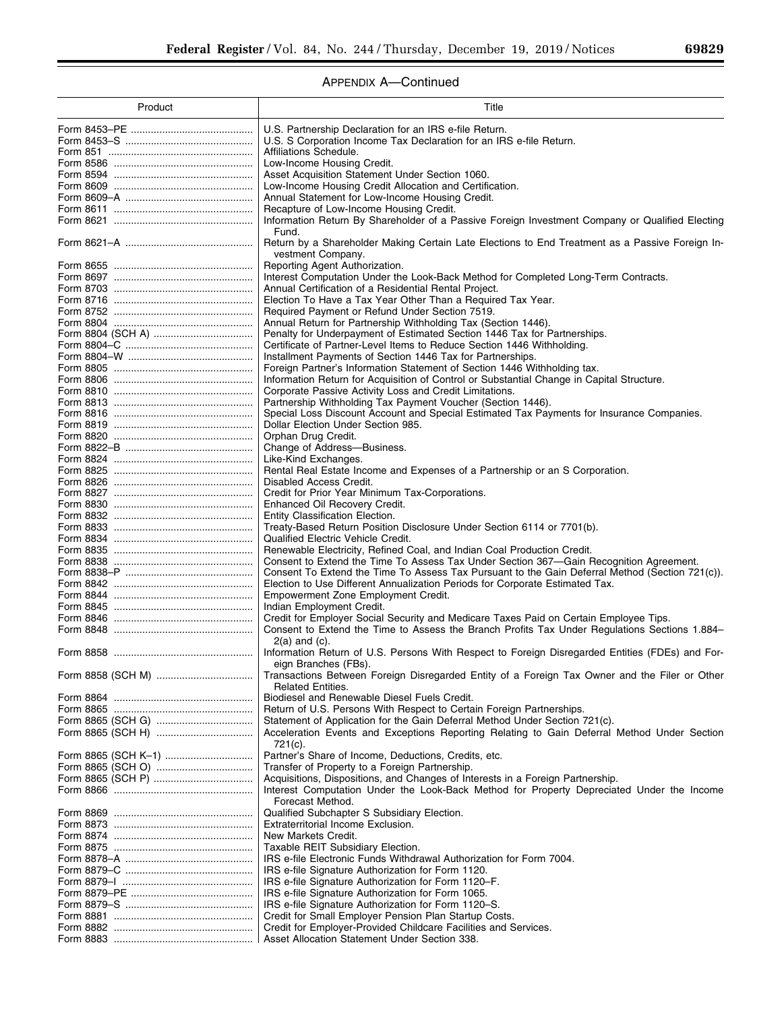# APPENDIX A—Continued

| Product | Title                                                                                                                   |
|---------|-------------------------------------------------------------------------------------------------------------------------|
|         | U.S. Partnership Declaration for an IRS e-file Return.                                                                  |
|         | U.S. S Corporation Income Tax Declaration for an IRS e-file Return.                                                     |
|         | Affiliations Schedule.                                                                                                  |
|         | Low-Income Housing Credit.                                                                                              |
|         | Asset Acquisition Statement Under Section 1060.                                                                         |
|         | Low-Income Housing Credit Allocation and Certification.                                                                 |
|         | Annual Statement for Low-Income Housing Credit.                                                                         |
|         | Recapture of Low-Income Housing Credit.                                                                                 |
|         | Information Return By Shareholder of a Passive Foreign Investment Company or Qualified Electing<br>Fund.                |
|         | Return by a Shareholder Making Certain Late Elections to End Treatment as a Passive Foreign In-<br>vestment Company.    |
|         | Reporting Agent Authorization.                                                                                          |
|         | Interest Computation Under the Look-Back Method for Completed Long-Term Contracts.                                      |
|         | Annual Certification of a Residential Rental Project.                                                                   |
|         | Election To Have a Tax Year Other Than a Required Tax Year.                                                             |
|         | Required Payment or Refund Under Section 7519.                                                                          |
|         | Annual Return for Partnership Withholding Tax (Section 1446).                                                           |
|         | Penalty for Underpayment of Estimated Section 1446 Tax for Partnerships.                                                |
|         | Certificate of Partner-Level Items to Reduce Section 1446 Withholding.                                                  |
|         | Installment Payments of Section 1446 Tax for Partnerships.                                                              |
|         | Foreign Partner's Information Statement of Section 1446 Withholding tax.                                                |
|         | Information Return for Acquisition of Control or Substantial Change in Capital Structure.                               |
|         | Corporate Passive Activity Loss and Credit Limitations.                                                                 |
|         | Partnership Withholding Tax Payment Voucher (Section 1446).                                                             |
|         | Special Loss Discount Account and Special Estimated Tax Payments for Insurance Companies.                               |
|         | Dollar Election Under Section 985.                                                                                      |
|         | Orphan Drug Credit.                                                                                                     |
|         | Change of Address-Business.<br>Like-Kind Exchanges.                                                                     |
|         |                                                                                                                         |
|         | Rental Real Estate Income and Expenses of a Partnership or an S Corporation.<br>Disabled Access Credit.                 |
|         | Credit for Prior Year Minimum Tax-Corporations.                                                                         |
|         | Enhanced Oil Recovery Credit.                                                                                           |
|         | Entity Classification Election.                                                                                         |
|         | Treaty-Based Return Position Disclosure Under Section 6114 or 7701(b).                                                  |
|         | Qualified Electric Vehicle Credit.                                                                                      |
|         | Renewable Electricity, Refined Coal, and Indian Coal Production Credit.                                                 |
|         | Consent to Extend the Time To Assess Tax Under Section 367-Gain Recognition Agreement.                                  |
|         | Consent To Extend the Time To Assess Tax Pursuant to the Gain Deferral Method (Section 721(c)).                         |
|         | Election to Use Different Annualization Periods for Corporate Estimated Tax.                                            |
|         | Empowerment Zone Employment Credit.                                                                                     |
|         | Indian Employment Credit.                                                                                               |
|         | Credit for Employer Social Security and Medicare Taxes Paid on Certain Employee Tips.                                   |
|         | Consent to Extend the Time to Assess the Branch Profits Tax Under Regulations Sections 1.884-                           |
|         | $2(a)$ and $(c)$ .                                                                                                      |
|         | Information Return of U.S. Persons With Respect to Foreign Disregarded Entities (FDEs) and For-<br>eign Branches (FBs). |
|         | Transactions Between Foreign Disregarded Entity of a Foreign Tax Owner and the Filer or Other                           |
|         | <b>Related Entities.</b>                                                                                                |
|         | Biodiesel and Renewable Diesel Fuels Credit.                                                                            |
|         | Return of U.S. Persons With Respect to Certain Foreign Partnerships.                                                    |
|         | Statement of Application for the Gain Deferral Method Under Section 721(c).                                             |
|         | Acceleration Events and Exceptions Reporting Relating to Gain Deferral Method Under Section<br>721(c).                  |
|         | Partner's Share of Income, Deductions, Credits, etc.                                                                    |
|         | Transfer of Property to a Foreign Partnership.                                                                          |
|         | Acquisitions, Dispositions, and Changes of Interests in a Foreign Partnership.                                          |
|         | Interest Computation Under the Look-Back Method for Property Depreciated Under the Income<br>Forecast Method.           |
|         | Qualified Subchapter S Subsidiary Election.                                                                             |
|         | Extraterritorial Income Exclusion.                                                                                      |
|         | New Markets Credit.                                                                                                     |
|         | Taxable REIT Subsidiary Election.                                                                                       |
|         | IRS e-file Electronic Funds Withdrawal Authorization for Form 7004.                                                     |
|         | IRS e-file Signature Authorization for Form 1120.                                                                       |
|         | IRS e-file Signature Authorization for Form 1120–F.                                                                     |
|         | IRS e-file Signature Authorization for Form 1065.                                                                       |
|         | IRS e-file Signature Authorization for Form 1120–S.                                                                     |
|         | Credit for Small Employer Pension Plan Startup Costs.                                                                   |
|         | Credit for Employer-Provided Childcare Facilities and Services.                                                         |
|         | Asset Allocation Statement Under Section 338.                                                                           |

 $\equiv$